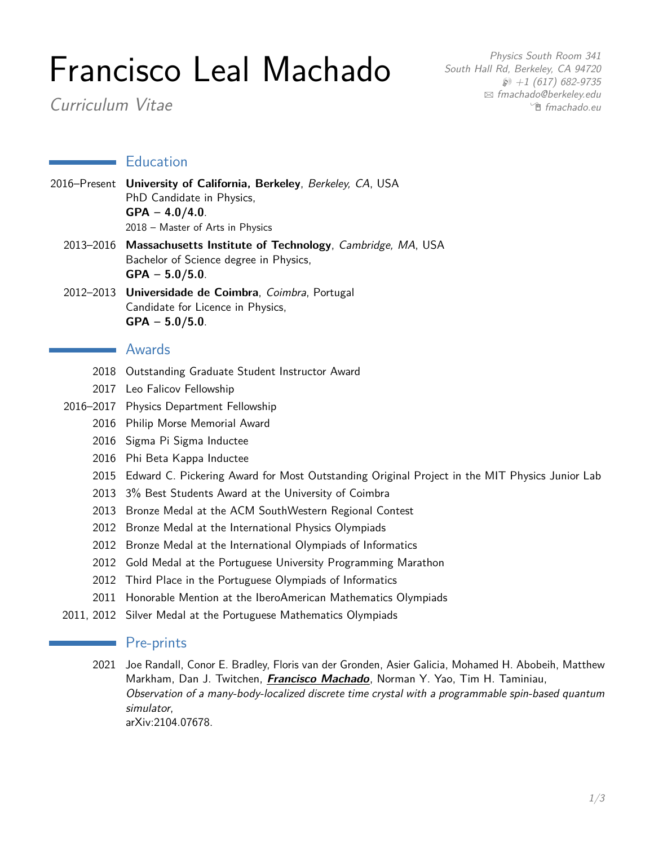# Francisco Leal Machado

Curriculum Vitae

Physics South Room 341 South Hall Rd, Berkeley, CA 94720  $\wp$  +1 (617) 682-9735 B [fmachado@berkeley.edu](mailto:fmachado@berkeley.edu) <sup>n</sup> [fmachado.eu](http://fmachado.eu)

### **Education**

- 2016–Present **University of California, Berkeley**, Berkeley, CA, USA PhD Candidate in Physics, **GPA – 4.0/4.0**. 2018 – Master of Arts in Physics
	- 2013–2016 **Massachusetts Institute of Technology**, Cambridge, MA, USA Bachelor of Science degree in Physics, **GPA – 5.0/5.0**.
	- 2012–2013 **Universidade de Coimbra**, Coimbra, Portugal Candidate for Licence in Physics, **GPA – 5.0/5.0**.

### **New Awards**

- 2018 Outstanding Graduate Student Instructor Award
- 2017 Leo Falicov Fellowship
- 2016–2017 Physics Department Fellowship
	- 2016 Philip Morse Memorial Award
	- 2016 Sigma Pi Sigma Inductee
	- 2016 Phi Beta Kappa Inductee
	- 2015 Edward C. Pickering Award for Most Outstanding Original Project in the MIT Physics Junior Lab
	- 2013 3% Best Students Award at the University of Coimbra
	- 2013 Bronze Medal at the ACM SouthWestern Regional Contest
	- 2012 Bronze Medal at the International Physics Olympiads
	- 2012 Bronze Medal at the International Olympiads of Informatics
	- 2012 Gold Medal at the Portuguese University Programming Marathon
	- 2012 Third Place in the Portuguese Olympiads of Informatics
	- 2011 Honorable Mention at the IberoAmerican Mathematics Olympiads
- 2011, 2012 Silver Medal at the Portuguese Mathematics Olympiads

## **Pre-prints**

2021 Joe Randall, Conor E. Bradley, Floris van der Gronden, Asier Galicia, Mohamed H. Abobeih, Matthew Markham, Dan J. Twitchen, **Francisco Machado**, Norman Y. Yao, Tim H. Taminiau, Observation of a many-body-localized discrete time crystal with a programmable spin-based quantum simulator, [arXiv:2104.07678.](https://arxiv.org/abs/2107.00736)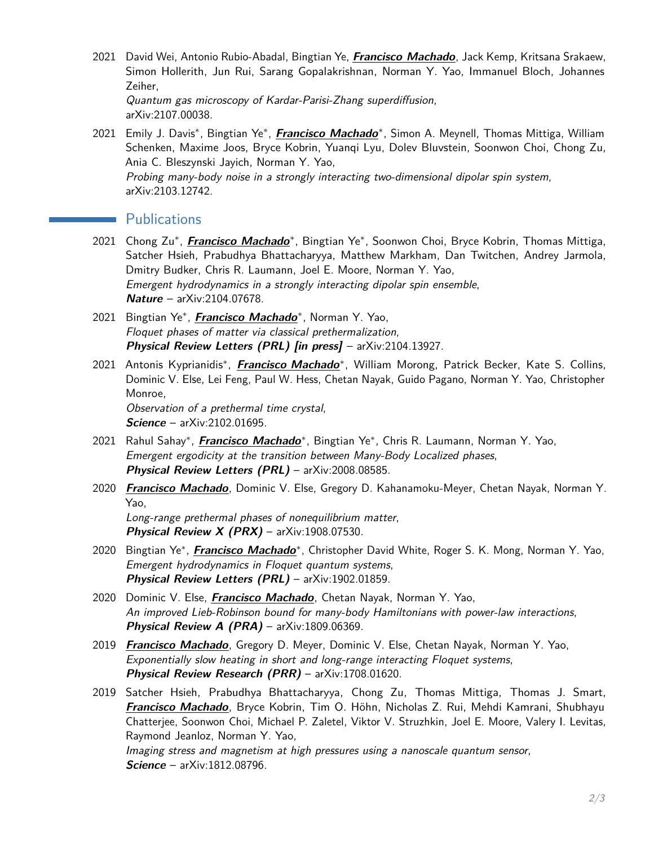- 2021 David Wei, Antonio Rubio-Abadal, Bingtian Ye, **Francisco Machado**, Jack Kemp, Kritsana Srakaew, Simon Hollerith, Jun Rui, Sarang Gopalakrishnan, Norman Y. Yao, Immanuel Bloch, Johannes Zeiher, Quantum gas microscopy of Kardar-Parisi-Zhang superdiffusion, [arXiv:2107.00038.](https://arxiv.org/abs/2107.00038)
- 2021 Emily J. Davis\*, Bingtian Ye\*, *Francisco Machado*\*, Simon A. Meynell, Thomas Mittiga, William Schenken, Maxime Joos, Bryce Kobrin, Yuanqi Lyu, Dolev Bluvstein, Soonwon Choi, Chong Zu, Ania C. Bleszynski Jayich, Norman Y. Yao, Probing many-body noise in a strongly interacting two-dimensional dipolar spin system, [arXiv:2103.12742.](https://arxiv.org/abs/2103.12742)

## **Publications**

- 2021 Chong Zu<sup>∗</sup>, *Francisco Machado*\*, Bingtian Ye\*, Soonwon Choi, Bryce Kobrin, Thomas Mittiga, Satcher Hsieh, Prabudhya Bhattacharyya, Matthew Markham, Dan Twitchen, Andrey Jarmola, Dmitry Budker, Chris R. Laumann, Joel E. Moore, Norman Y. Yao, Emergent hydrodynamics in a strongly interacting dipolar spin ensemble, **[Nature](https://www.nature.com/articles/s41586-021-03763-1)** – [arXiv:2104.07678.](https://arxiv.org/abs/2104.07678)
- 2021 Bingtian Ye<sup>∗</sup> , **Francisco Machado**<sup>∗</sup> , Norman Y. Yao, Floquet phases of matter via classical prethermalization, **Physical Review Letters (PRL) [in press]** – [arXiv:2104.13927.](https://arxiv.org/abs/2104.13927)
- 2021 Antonis Kyprianidis<sup>∗</sup> , **Francisco Machado**<sup>∗</sup> , William Morong, Patrick Becker, Kate S. Collins, Dominic V. Else, Lei Feng, Paul W. Hess, Chetan Nayak, Guido Pagano, Norman Y. Yao, Christopher Monroe,

Observation of a prethermal time crystal, **[Science](https://science.sciencemag.org/content/372/6547/1192)** – [arXiv:2102.01695.](https://arxiv.org/abs/2102.01695)

- 2021 Rahul Sahay<sup>∗</sup>, *Francisco Machado*\*, Bingtian Ye\*, Chris R. Laumann, Norman Y. Yao, Emergent ergodicity at the transition between Many-Body Localized phases, **[Physical Review Letters \(PRL\)](https://journals.aps.org/prl/abstract/10.1103/PhysRevLett.126.100604)** – [arXiv:2008.08585.](https://arxiv.org/abs/2008.08585)
- 2020 **Francisco Machado**, Dominic V. Else, Gregory D. Kahanamoku-Meyer, Chetan Nayak, Norman Y. Yao, Long-range prethermal phases of nonequilibrium matter, **[Physical Review X \(PRX\)](https://journals.aps.org/prx/abstract/10.1103/PhysRevX.10.011043)** – [arXiv:1908.07530.](https://arxiv.org/abs/1908.07530)
- 2020 Bingtian Ye<sup>∗</sup> , **Francisco Machado**<sup>∗</sup> , Christopher David White, Roger S. K. Mong, Norman Y. Yao, Emergent hydrodynamics in Floquet quantum systems, **[Physical Review Letters \(PRL\)](https://journals.aps.org/prl/abstract/10.1103/PhysRevLett.125.030601)** – [arXiv:1902.01859.](https://arxiv.org/abs/1902.01859)
- 2020 Dominic V. Else, **Francisco Machado**, Chetan Nayak, Norman Y. Yao, An improved Lieb-Robinson bound for many-body Hamiltonians with power-law interactions, **[Physical Review A \(PRA\)](https://journals.aps.org/pra/abstract/10.1103/PhysRevA.101.022333)** – [arXiv:1809.06369.](https://arxiv.org/abs/1809.06369)
- 2019 **Francisco Machado**, Gregory D. Meyer, Dominic V. Else, Chetan Nayak, Norman Y. Yao, Exponentially slow heating in short and long-range interacting Floquet systems, **[Physical Review Research \(PRR\)](https://journals.aps.org/prresearch/abstract/10.1103/PhysRevResearch.1.033202)** – [arXiv:1708.01620.](https://arxiv.org/abs/1708.01620)
- 2019 Satcher Hsieh, Prabudhya Bhattacharyya, Chong Zu, Thomas Mittiga, Thomas J. Smart, **Francisco Machado**, Bryce Kobrin, Tim O. Höhn, Nicholas Z. Rui, Mehdi Kamrani, Shubhayu Chatterjee, Soonwon Choi, Michael P. Zaletel, Viktor V. Struzhkin, Joel E. Moore, Valery I. Levitas, Raymond Jeanloz, Norman Y. Yao, Imaging stress and magnetism at high pressures using a nanoscale quantum sensor, **[Science](https://science.sciencemag.org/content/366/6471/1349)** – [arXiv:1812.08796.](https://arxiv.org/abs/1812.08796)